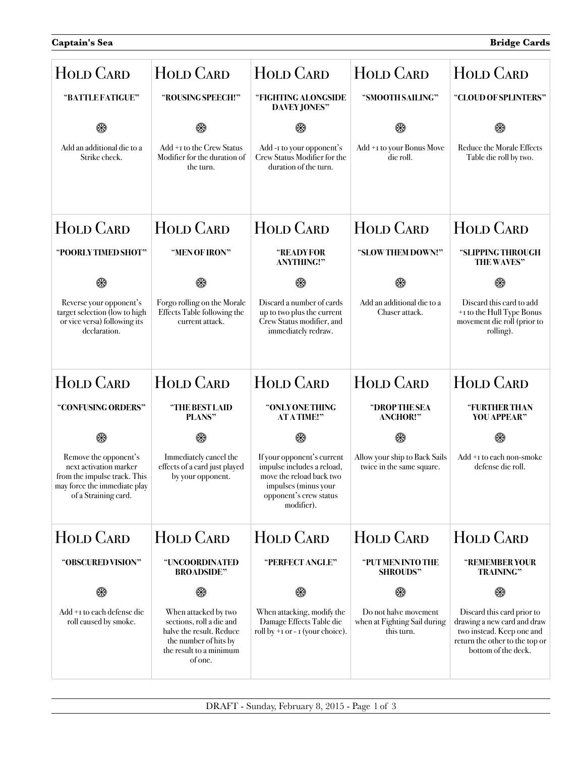| <b>HOLD CARD</b>                                                                                                                        | <b>HOLD CARD</b>                                                                                                                            | <b>HOLD CARD</b>                                                                                                                                     | <b>HOLD CARD</b>                                                    | <b>HOLD CARD</b>                                                                                                                                |
|-----------------------------------------------------------------------------------------------------------------------------------------|---------------------------------------------------------------------------------------------------------------------------------------------|------------------------------------------------------------------------------------------------------------------------------------------------------|---------------------------------------------------------------------|-------------------------------------------------------------------------------------------------------------------------------------------------|
| "BATTLE FATIGUE"                                                                                                                        | "ROUSING SPEECH!"                                                                                                                           | "FIGHTING ALONGSIDE<br><b>DAVEY JONES"</b>                                                                                                           | "SMOOTH SAILING"                                                    | "CLOUD OF SPLINTERS"                                                                                                                            |
| ⊛                                                                                                                                       |                                                                                                                                             | ⊛                                                                                                                                                    |                                                                     |                                                                                                                                                 |
| Add an additional die to a<br>Strike check.                                                                                             | Add +1 to the Crew Status<br>Modifier for the duration of<br>the turn.                                                                      | Add-I to your opponent's<br>Crew Status Modifier for the<br>duration of the turn.                                                                    | Add +1 to your Bonus Move<br>die roll.                              | <b>Reduce the Morale Effects</b><br>Table die roll by two.                                                                                      |
| <b>HOLD CARD</b>                                                                                                                        | <b>HOLD CARD</b>                                                                                                                            | <b>HOLD CARD</b>                                                                                                                                     | <b>HOLD CARD</b>                                                    | <b>HOLD CARD</b>                                                                                                                                |
| "POORLY TIMED SHOT"                                                                                                                     | "MEN OF IRON"                                                                                                                               | <b>"READYFOR</b><br><b>ANYTHING!"</b>                                                                                                                | "SLOW THEM DOWN!"                                                   | "SLIPPING THROUGH<br>THE WAVES"                                                                                                                 |
| ⊛                                                                                                                                       | ⊛                                                                                                                                           | ⊛                                                                                                                                                    | ⊛                                                                   |                                                                                                                                                 |
| Reverse your opponent's<br>target selection (low to high<br>or vice versa) following its<br>declaration.                                | Forgo rolling on the Morale<br>Effects Table following the<br>current attack.                                                               | Discard a number of cards<br>up to two plus the current<br>Crew Status modifier, and<br>immediately redraw.                                          | Add an additional die to a<br>Chaser attack.                        | Discard this card to add<br>+1 to the Hull Type Bonus<br>movement die roll (prior to<br>rolling).                                               |
| <b>HOLD CARD</b>                                                                                                                        | <b>HOLD CARD</b>                                                                                                                            | <b>HOLD CARD</b>                                                                                                                                     | <b>HOLD CARD</b>                                                    | <b>HOLD CARD</b>                                                                                                                                |
| "CONFUSING ORDERS"                                                                                                                      | "THE BEST LAID<br>PLANS"                                                                                                                    | "ONLY ONE THING<br><b>ATATIME!"</b>                                                                                                                  | "DROP THE SEA<br><b>ANCHOR!"</b>                                    | "FURTHER THAN<br>YOU APPEAR"                                                                                                                    |
| ⊛                                                                                                                                       | ⊛                                                                                                                                           | ⊛                                                                                                                                                    | ⊛                                                                   | ⊛                                                                                                                                               |
| Remove the opponent's<br>next activation marker<br>from the impulse track. This<br>may force the immediate play<br>of a Straining card. | Immediately cancel the<br>effects of a card just played<br>by your opponent.                                                                | If your opponent's current<br>impulse includes a reload,<br>move the reload back two<br>impulses (minus your<br>opponent's crew status<br>modifier). | Allow your ship to Back Sails<br>twice in the same square.          | Add +1 to each non-smoke<br>defense die roll.                                                                                                   |
| <b>HOLD CARD</b>                                                                                                                        | <b>HOLD CARD</b>                                                                                                                            | <b>HOLD CARD</b>                                                                                                                                     | <b>HOLD CARD</b>                                                    | <b>HOLD CARD</b>                                                                                                                                |
| "OBSCURED VISION"                                                                                                                       | "UNCOORDINATED<br><b>BROADSIDE"</b>                                                                                                         | "PERFECT ANGLE"                                                                                                                                      | "PUT MEN INTO THE<br><b>SHROUDS"</b>                                | "REMEMBER YOUR<br><b>TRAINING"</b>                                                                                                              |
|                                                                                                                                         | ⊛                                                                                                                                           | ΘΘ                                                                                                                                                   | ⊛                                                                   | ⊛                                                                                                                                               |
| Add +1 to each defense die<br>roll caused by smoke.                                                                                     | When attacked by two<br>sections, roll a die and<br>halve the result. Reduce<br>the number of hits by<br>the result to a minimum<br>of one. | When attacking, modify the<br>Damage Effects Table die<br>roll by $+$ I or $-$ I (your choice).                                                      | Do not halve movement<br>when at Fighting Sail during<br>this turn. | Discard this card prior to<br>drawing a new card and draw<br>two instead. Keep one and<br>return the other to the top or<br>bottom of the deck. |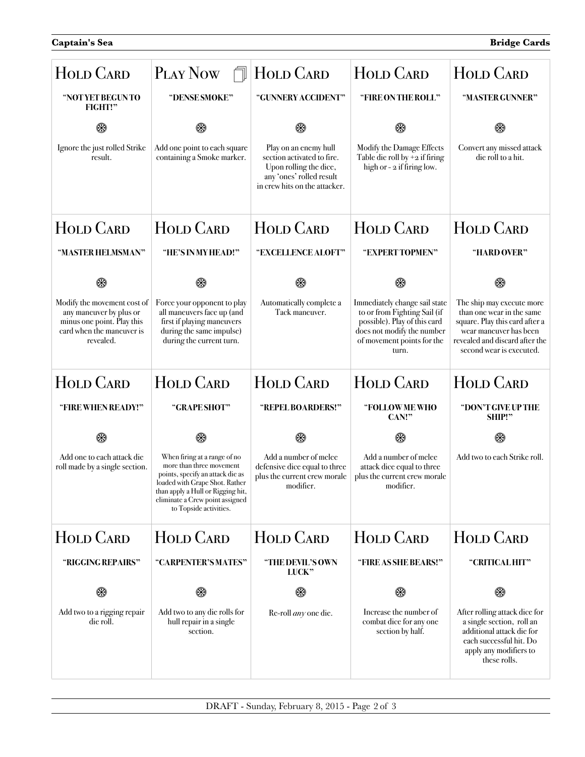| <b>HOLD CARD</b>                                                                                                               | PLAY NOW<br>门                                                                                                                                                                                                                    | <b>HOLD CARD</b>                                                                                                                           | <b>HOLD CARD</b>                                                                                                                                                   | <b>HOLD CARD</b>                                                                                                                                                                 |
|--------------------------------------------------------------------------------------------------------------------------------|----------------------------------------------------------------------------------------------------------------------------------------------------------------------------------------------------------------------------------|--------------------------------------------------------------------------------------------------------------------------------------------|--------------------------------------------------------------------------------------------------------------------------------------------------------------------|----------------------------------------------------------------------------------------------------------------------------------------------------------------------------------|
| "NOT YET BEGUN TO<br>FIGHT!"                                                                                                   | "DENSE SMOKE"                                                                                                                                                                                                                    | "GUNNERY ACCIDENT"                                                                                                                         | "FIRE ON THE ROLL"                                                                                                                                                 | "MASTER GUNNER"                                                                                                                                                                  |
| ⊛                                                                                                                              | ⊛                                                                                                                                                                                                                                |                                                                                                                                            |                                                                                                                                                                    |                                                                                                                                                                                  |
| Ignore the just rolled Strike<br>result.                                                                                       | Add one point to each square<br>containing a Smoke marker.                                                                                                                                                                       | Play on an enemy hull<br>section activated to fire.<br>Upon rolling the dice,<br>any 'ones' rolled result<br>in crew hits on the attacker. | Modify the Damage Effects<br>Table die roll by $+2$ if firing<br>high or - 2 if firing low.                                                                        | Convert any missed attack<br>die roll to a hit.                                                                                                                                  |
| HOLD CARD                                                                                                                      | <b>HOLD CARD</b>                                                                                                                                                                                                                 | <b>HOLD CARD</b>                                                                                                                           | <b>HOLD CARD</b>                                                                                                                                                   | <b>HOLD CARD</b>                                                                                                                                                                 |
| "MASTER HELMSMAN"                                                                                                              | "HE'S IN MY HEAD!"                                                                                                                                                                                                               | "EXCELLENCE ALOFT"                                                                                                                         | "EXPERTTOPMEN"                                                                                                                                                     | "HARD OVER"                                                                                                                                                                      |
| ⊛                                                                                                                              | ⊛                                                                                                                                                                                                                                | ⊛                                                                                                                                          |                                                                                                                                                                    |                                                                                                                                                                                  |
| Modify the movement cost of<br>any maneuver by plus or<br>minus one point. Play this<br>card when the maneuver is<br>revealed. | Force your opponent to play<br>all maneuvers face up (and<br>first if playing maneuvers<br>during the same impulse)<br>during the current turn.                                                                                  | Automatically complete a<br>Tack maneuver.                                                                                                 | Immediately change sail state<br>to or from Fighting Sail (if<br>possible). Play of this card<br>does not modify the number<br>of movement points for the<br>turn. | The ship may execute more<br>than one wear in the same<br>square. Play this card after a<br>wear maneuver has been<br>revealed and discard after the<br>second wear is executed. |
| <b>HOLD CARD</b>                                                                                                               | <b>HOLD CARD</b>                                                                                                                                                                                                                 | <b>HOLD CARD</b>                                                                                                                           | <b>HOLD CARD</b>                                                                                                                                                   | <b>HOLD CARD</b>                                                                                                                                                                 |
| "FIRE WHEN READY!"                                                                                                             | "GRAPE SHOT"                                                                                                                                                                                                                     | "REPEL BOARDERS!"                                                                                                                          | "FOLLOW ME WHO<br>CAN!                                                                                                                                             | "DON'T GIVE UP THE<br>SHIP!"                                                                                                                                                     |
| ⊛                                                                                                                              | ⊛                                                                                                                                                                                                                                | ⊛                                                                                                                                          | ⊛                                                                                                                                                                  | ⊛                                                                                                                                                                                |
| Add one to each attack die<br>roll made by a single section.                                                                   | When firing at a range of no<br>more than three movement<br>points, specify an attack die as<br>loaded with Grape Shot. Rather<br>than apply a Hull or Rigging hit,<br>eliminate a Crew point assigned<br>to Topside activities. | Add a number of melee<br>defensive dice equal to three<br>plus the current crew morale<br>modifier.                                        | Add a number of melee<br>attack dice equal to three<br>plus the current crew morale<br>modifier.                                                                   | Add two to each Strike roll.                                                                                                                                                     |
| <b>HOLD CARD</b>                                                                                                               | <b>HOLD CARD</b>                                                                                                                                                                                                                 | <b>HOLD CARD</b>                                                                                                                           | <b>HOLD CARD</b>                                                                                                                                                   | <b>HOLD CARD</b>                                                                                                                                                                 |
| "RIGGING REPAIRS"                                                                                                              | "CARPENTER'S MATES"                                                                                                                                                                                                              | "THE DEVIL'S OWN<br>LUCK"                                                                                                                  | "FIRE AS SHE BEARS!"                                                                                                                                               | "CRITICAL HIT"                                                                                                                                                                   |
| œ                                                                                                                              | ⊛                                                                                                                                                                                                                                | ⊛                                                                                                                                          | ⊛                                                                                                                                                                  |                                                                                                                                                                                  |
| Add two to a rigging repair<br>die roll.                                                                                       | Add two to any die rolls for<br>hull repair in a single<br>section.                                                                                                                                                              | Re-roll <i>any</i> one die.                                                                                                                | Increase the number of<br>combat dice for any one<br>section by half.                                                                                              | After rolling attack dice for<br>a single section, roll an<br>additional attack die for<br>each successful hit. Do<br>apply any modifiers to<br>these rolls.                     |